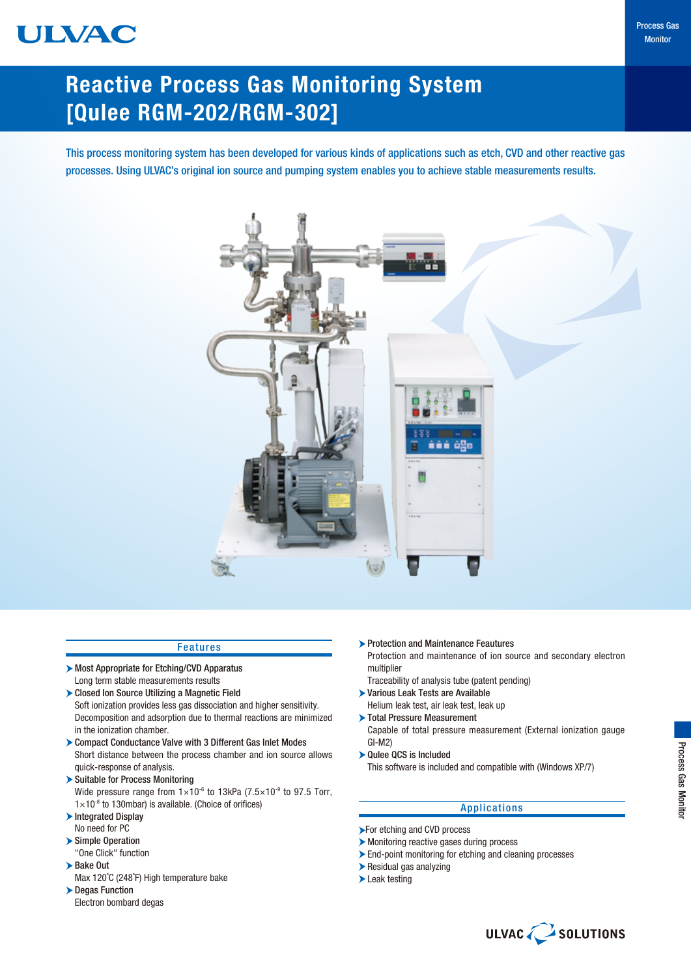# ULVAC

# Reactive Process Gas Monitoring System [Qulee RGM-202/RGM-302]

This process monitoring system has been developed for various kinds of applications such as etch, CVD and other reactive gas processes. Using ULVAC's original ion source and pumping system enables you to achieve stable measurements results.



### Features

- Most Appropriate for Etching/CVD Apparatus Long term stable measurements results
- Closed Ion Source Utilizing a Magnetic Field Soft ionization provides less gas dissociation and higher sensitivity. Decomposition and adsorption due to thermal reactions are minimized in the ionization chamber.
- Compact Conductance Valve with 3 Different Gas Inlet Modes Short distance between the process chamber and ion source allows quick-response of analysis.
- Suitable for Process Monitoring Wide pressure range from  $1\times10^{-6}$  to 13kPa (7.5 $\times10^{-9}$  to 97.5 Torr,  $1\times10^{-8}$  to 130mbar) is available. (Choice of orifices)
- $\blacktriangleright$  Integrated Display No need for PC
- Simple Operation
- "One Click" function Bake Out
- Max 120˚C (248˚F) High temperature bake
- **Degas Function** Electron bombard degas
- **Protection and Maintenance Feautures** Protection and maintenance of ion source and secondary electron multiplier
- Traceability of analysis tube (patent pending)
- Various Leak Tests are Available
- Helium leak test, air leak test, leak up Total Pressure Measurement
- Capable of total pressure measurement (External ionization gauge GI-M2)
- Qulee QCS is Included This software is included and compatible with (Windows XP/7)

### Applications

- **For etching and CVD process**
- Monitoring reactive gases during process
- End-point monitoring for etching and cleaning processes
- Residual gas analyzing
- Leak testing